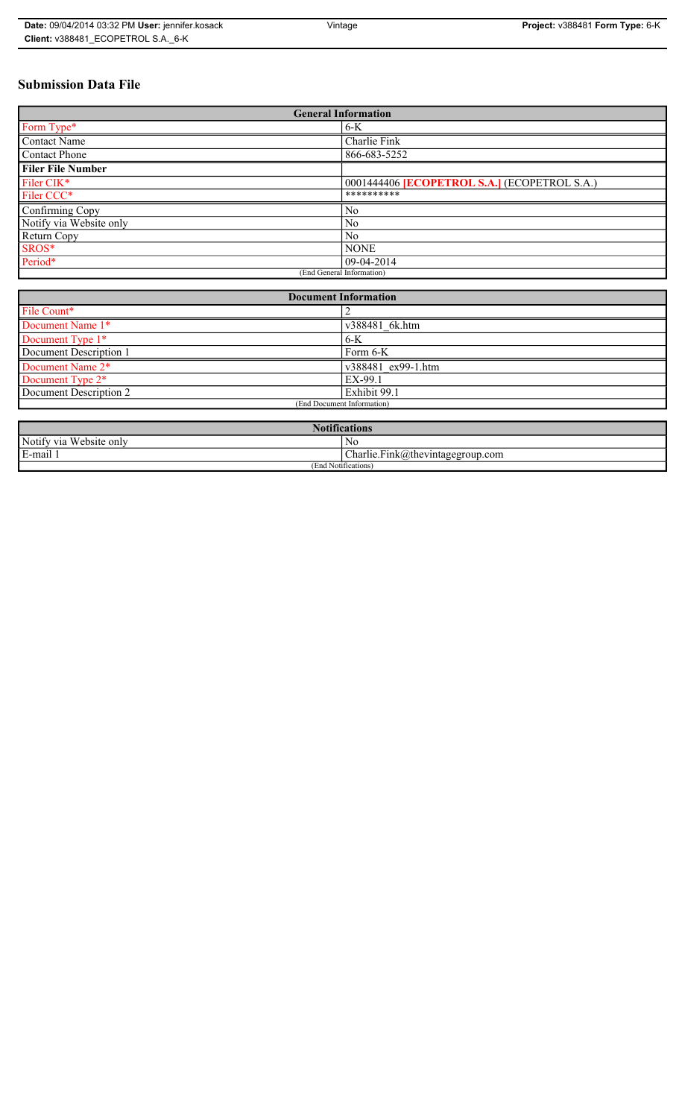| Date: 09/04/2014 03:32 PM User: jennifer.kosack | Vintage | Project: v388481 Form Type: 6-K |
|-------------------------------------------------|---------|---------------------------------|
| Client: v388481 ECOPETROL S.A. 6-K              |         |                                 |

# **Submission Data File**

| <b>General Information</b> |                                                     |  |
|----------------------------|-----------------------------------------------------|--|
| Form Type*                 | $6-K$                                               |  |
| <b>Contact Name</b>        | Charlie Fink                                        |  |
| <b>Contact Phone</b>       | 866-683-5252                                        |  |
| <b>Filer File Number</b>   |                                                     |  |
| Filer CIK*                 | 0001444406 <b>[ECOPETROL S.A.]</b> (ECOPETROL S.A.) |  |
| Filer CCC*                 | **********                                          |  |
| Confirming Copy            | No                                                  |  |
| Notify via Website only    | N <sub>0</sub>                                      |  |
| Return Copy                | N <sub>0</sub>                                      |  |
| SROS*                      | <b>NONE</b>                                         |  |
| Period*                    | 09-04-2014                                          |  |
| (End General Information)  |                                                     |  |

| <b>Document Information</b>  |                    |  |
|------------------------------|--------------------|--|
| File Count*                  |                    |  |
| Document Name 1*             | v388481 6k.htm     |  |
| Document Type 1*             | $6-K$              |  |
| Document Description 1       | Form 6-K           |  |
| Document Name 2*             | v388481 ex99-1.htm |  |
| Document Type 2 <sup>*</sup> | EX-99.1            |  |
| Document Description 2       | Exhibit 99.1       |  |
| (End Document Information)   |                    |  |
|                              |                    |  |

| <b>Notifications</b>    |                                  |  |
|-------------------------|----------------------------------|--|
| Notify via Website only | No                               |  |
| E-mail                  | Charlie.Fink@thevintagegroup.com |  |
| (End Notifications)     |                                  |  |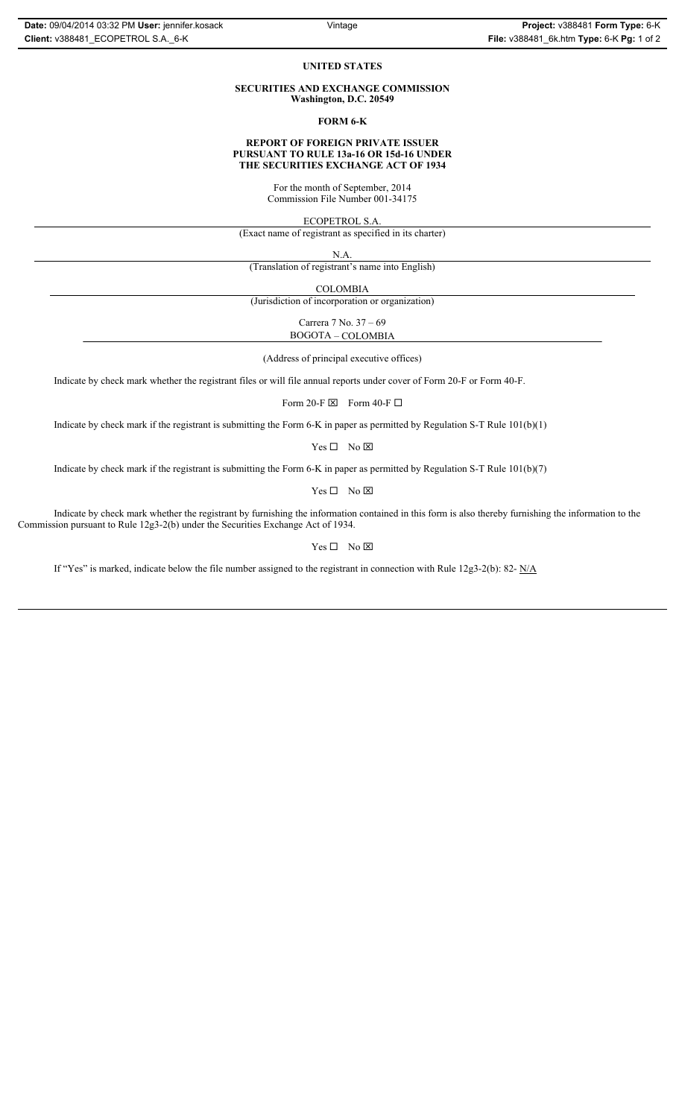## **UNITED STATES**

### **SECURITIES AND EXCHANGE COMMISSION Washington, D.C. 20549**

**FORM 6-K**

## **REPORT OF FOREIGN PRIVATE ISSUER PURSUANT TO RULE 13a-16 OR 15d-16 UNDER THE SECURITIES EXCHANGE ACT OF 1934**

For the month of September, 2014 Commission File Number 001-34175

ECOPETROL S.A.

(Exact name of registrant as specified in its charter)

N.A.

(Translation of registrant's name into English)

COLOMBIA

(Jurisdiction of incorporation or organization)

Carrera 7 No. 37 – 69 BOGOTA – COLOMBIA

(Address of principal executive offices)

Indicate by check mark whether the registrant files or will file annual reports under cover of Form 20-F or Form 40-F.

Form 20-F  $\boxtimes$  Form 40-F  $\Box$ 

Indicate by check mark if the registrant is submitting the Form 6-K in paper as permitted by Regulation S-T Rule 101(b)(1)

 $Yes \Box No \boxtimes$ 

Indicate by check mark if the registrant is submitting the Form 6-K in paper as permitted by Regulation S-T Rule 101(b)(7)

 $Yes \Box No \boxtimes$ 

Indicate by check mark whether the registrant by furnishing the information contained in this form is also thereby furnishing the information to the Commission pursuant to Rule 12g3-2(b) under the Securities Exchange Act of 1934.

 $Yes \Box No \boxtimes$ 

If "Yes" is marked, indicate below the file number assigned to the registrant in connection with Rule 12g3-2(b): 82- N/A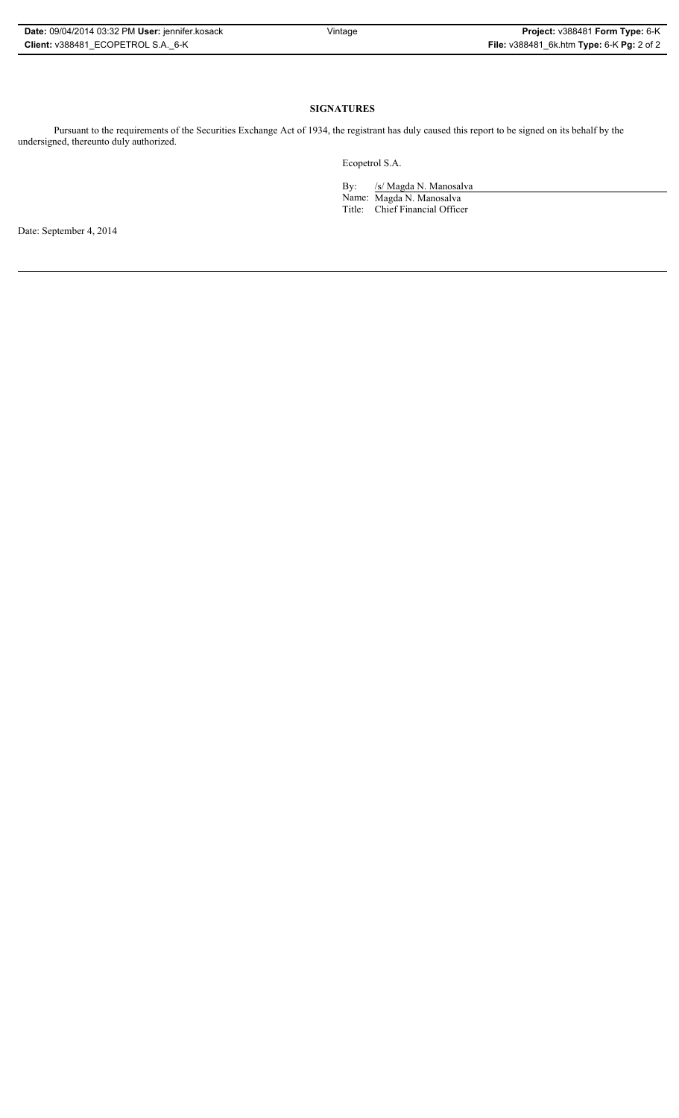| Date: 09/04/2014 03:32 PM User: jennifer.kosack |
|-------------------------------------------------|
| Client: v388481 ECOPETROL S.A. 6-K              |

# **SIGNATURES**

Pursuant to the requirements of the Securities Exchange Act of 1934, the registrant has duly caused this report to be signed on its behalf by the undersigned, thereunto duly authorized.

Ecopetrol S.A.

By: /s/ Magda N. Manosalva Name: Magda N. Manosalva Title: Chief Financial Officer

Date: September 4, 2014